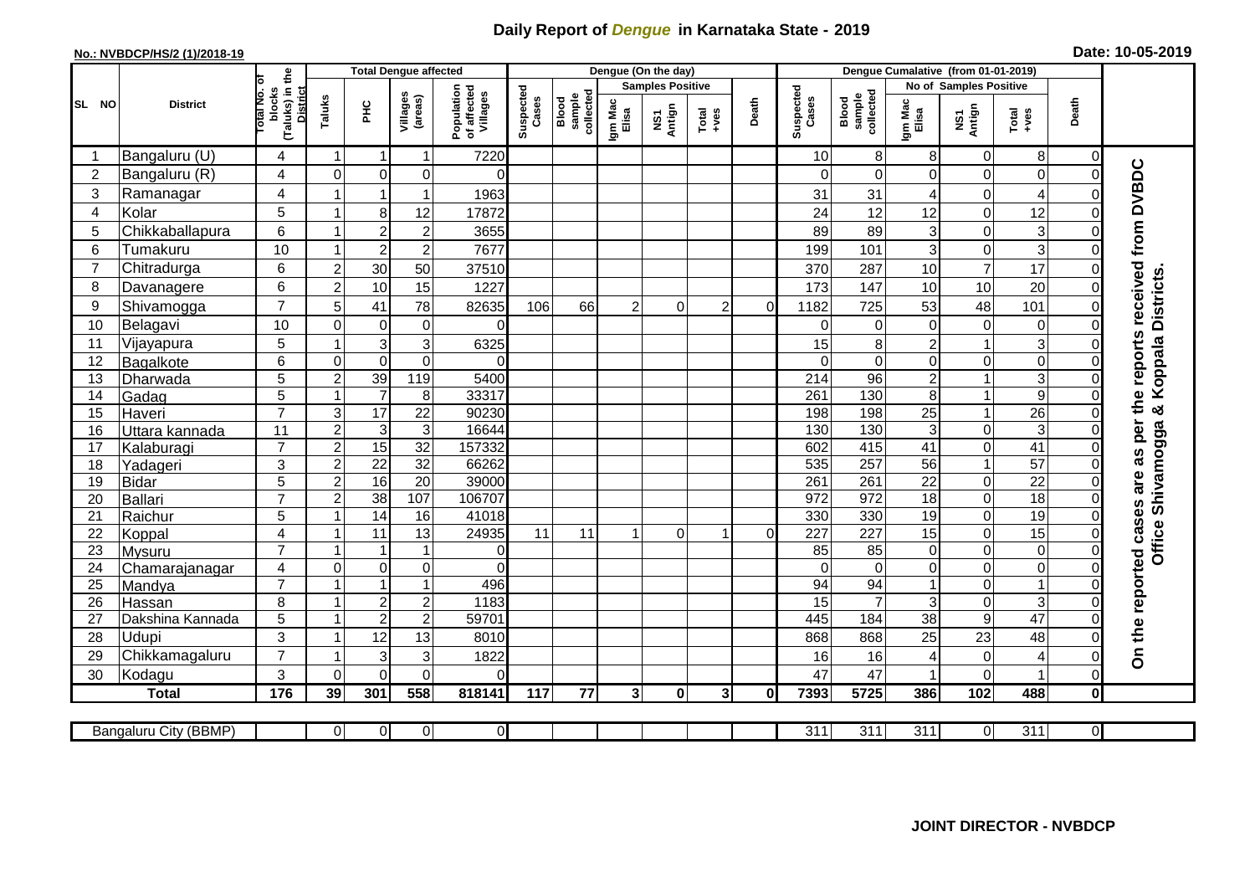## **Daily Report of** *Dengue* **in Karnataka State - 2019**

## **No.: NVBDCP/HS/2 (1)/2018-19 Date: 10-05-2019**

|                 |                       |                                                      | <b>Total Dengue affected</b> |                     |                         |                                       |                    |                              |                  | Dengue (On the day)     |                                                              |              |                    |                              |                  |                        |                                                              |                |                                  |
|-----------------|-----------------------|------------------------------------------------------|------------------------------|---------------------|-------------------------|---------------------------------------|--------------------|------------------------------|------------------|-------------------------|--------------------------------------------------------------|--------------|--------------------|------------------------------|------------------|------------------------|--------------------------------------------------------------|----------------|----------------------------------|
|                 |                       |                                                      |                              |                     |                         |                                       |                    |                              |                  | <b>Samples Positive</b> |                                                              |              |                    |                              |                  | No of Samples Positive |                                                              |                |                                  |
| SL NO           | <b>District</b>       | (Taluks) in the<br>District<br>otal No. of<br>blocks | Taluks                       | ᆂ                   | Villages<br>(areas)     | Population<br>of affected<br>Villages | Suspected<br>Cases | Blood<br>sample<br>collected | Igm Mac<br>Elisa | NS1<br>Antign           | $\begin{array}{c}\n\text{Total} \\ \text{Area}\n\end{array}$ | Death        | Suspected<br>Cases | collected<br>Blood<br>sample | Igm Mac<br>Elisa | NS1<br>Antign          | $\begin{array}{c}\n\text{Total} \\ \text{+ves}\n\end{array}$ | Death          |                                  |
|                 | Bangaluru (U)         | 4                                                    | $\mathbf 1$                  | -1                  | 1                       | 7220                                  |                    |                              |                  |                         |                                                              |              | 10                 | 8                            | 8                | $\mathbf 0$            | 8                                                            | $\Omega$       |                                  |
| $\overline{2}$  | Bangaluru (R)         | 4                                                    | $\Omega$                     | $\mathbf 0$         | 0                       | $\Omega$                              |                    |                              |                  |                         |                                                              |              | $\Omega$           | $\Omega$                     | $\Omega$         | $\mathbf 0$            | $\overline{0}$                                               |                |                                  |
| 3               | Ramanagar             | $\overline{4}$                                       |                              | -1                  | $\mathbf{1}$            | 1963                                  |                    |                              |                  |                         |                                                              |              | 31                 | 31                           | 4                | 0                      | $\overline{4}$                                               |                | the reports received from DVBDC  |
| $\overline{4}$  | Kolar                 | 5                                                    | $\overline{1}$               | 8                   | 12                      | 17872                                 |                    |                              |                  |                         |                                                              |              | 24                 | 12                           | 12               | $\mathbf 0$            | 12                                                           |                |                                  |
| 5               | Chikkaballapura       | 6                                                    | -1                           | $\overline{2}$      | $\overline{\mathbf{c}}$ | 3655                                  |                    |                              |                  |                         |                                                              |              | 89                 | 89                           | 3                | $\mathsf 0$            | 3                                                            |                |                                  |
| 6               | Tumakuru              | 10                                                   | 1                            | $\overline{2}$      | $\overline{c}$          | 7677                                  |                    |                              |                  |                         |                                                              |              | 199                | 101                          | 3                | $\mathsf{O}\xspace$    | $\overline{3}$                                               |                |                                  |
| $\overline{7}$  | Chitradurga           | 6                                                    | $\overline{2}$               | 30                  | 50                      | 37510                                 |                    |                              |                  |                         |                                                              |              | 370                | 287                          | 10               | $\overline{7}$         | $\overline{17}$                                              |                |                                  |
| 8               | Davanagere            | 6                                                    | $\overline{2}$               | 10                  | 15                      | 1227                                  |                    |                              |                  |                         |                                                              |              | 173                | 147                          | 10               | 10                     | 20                                                           |                |                                  |
| 9               | Shivamogga            | $\overline{7}$                                       | 5                            | 41                  | 78                      | 82635                                 | 106                | 66                           | 2                | 0                       | 2                                                            | $\Omega$     | 1182               | 725                          | 53               | 48                     | 101                                                          |                | <b>Districts</b>                 |
| 10              | Belagavi              | 10                                                   | $\mathbf 0$                  | $\mathbf 0$         | $\mathsf 0$             | $\Omega$                              |                    |                              |                  |                         |                                                              |              | $\Omega$           | 0                            | $\mathbf 0$      | $\pmb{0}$              | $\mathbf 0$                                                  |                |                                  |
| 11              | Vijayapura            | 5                                                    | 1                            | 3                   | 3                       | 6325                                  |                    |                              |                  |                         |                                                              |              | 15                 | 8                            | $\overline{c}$   | $\mathbf{1}$           | 3                                                            |                | Koppala                          |
| 12              | Bagalkote             | 6                                                    | $\mathbf 0$                  | $\boldsymbol{0}$    | $\overline{0}$          | $\Omega$                              |                    |                              |                  |                         |                                                              |              | $\Omega$           | $\Omega$                     | 0                | $\mathsf 0$            | $\overline{0}$                                               |                |                                  |
| 13              | Dharwada              | 5                                                    | $\overline{c}$               | 39                  | 119                     | 5400                                  |                    |                              |                  |                         |                                                              |              | $\overline{214}$   | 96                           | $\overline{c}$   | $\overline{1}$         | $\overline{3}$                                               |                |                                  |
| 14              | Gadag                 | $\overline{5}$                                       | 1                            | $\overline{7}$      | $\,8\,$                 | 33317                                 |                    |                              |                  |                         |                                                              |              | 261                | 130                          | $\bf 8$          | $\mathbf{1}$           | $\overline{9}$                                               |                |                                  |
| 15              | Haveri                | $\overline{7}$                                       | 3                            | 17                  | $\overline{22}$         | 90230                                 |                    |                              |                  |                         |                                                              |              | 198                | 198                          | 25               | $\mathbf{1}$           | $\overline{26}$                                              |                | න්                               |
| 16              | Uttara kannada        | 11                                                   | $\overline{2}$               | 3                   | $\overline{3}$          | 16644                                 |                    |                              |                  |                         |                                                              |              | 130                | 130                          | $\mathbf{3}$     | $\mathbf 0$            | $\overline{3}$                                               |                | Shivamogga                       |
| 17              | Kalaburagi            | $\overline{7}$                                       | $\overline{2}$               | 15                  | 32                      | 157332                                |                    |                              |                  |                         |                                                              |              | 602                | 415                          | 41               | $\overline{0}$         | 41                                                           |                |                                  |
| 18              | Yadageri              | 3                                                    | $\overline{2}$               | $\overline{22}$     | 32                      | 66262                                 |                    |                              |                  |                         |                                                              |              | 535                | 257                          | 56               | $\mathbf{1}$           | 57                                                           |                |                                  |
| 19              | Bidar                 | 5                                                    | $\overline{c}$               | 16                  | 20                      | 39000                                 |                    |                              |                  |                         |                                                              |              | 261                | 261                          | $\overline{22}$  | 0                      | $\overline{22}$                                              |                |                                  |
| 20              | Ballari               | $\overline{7}$                                       | $\overline{2}$               | 38                  | 107                     | 106707                                |                    |                              |                  |                         |                                                              |              | $\overline{972}$   | $\overline{972}$             | 18               | $\overline{0}$         | 18                                                           |                |                                  |
| 21              | Raichur               | 5                                                    | -1                           | $\overline{14}$     | 16                      | 41018                                 |                    |                              |                  |                         |                                                              |              | 330                | 330                          | 19               | $\overline{0}$         | 19                                                           | $\Omega$       |                                  |
| 22              | Koppal                | 4                                                    |                              | 11                  | $\overline{13}$         | 24935                                 | 11                 | 11                           |                  | $\Omega$                | -1                                                           | $\Omega$     | $\overline{227}$   | 227                          | 15               | $\overline{0}$         | 15                                                           |                | <b>Office</b>                    |
| 23              | Mysuru                | $\overline{7}$                                       | -1                           | $\mathbf 1$         | 1                       | $\overline{0}$                        |                    |                              |                  |                         |                                                              |              | 85                 | 85                           | $\pmb{0}$        | $\overline{0}$         | $\overline{0}$                                               | $\mathbf 0$    |                                  |
| 24              | Chamarajanagar        | 4                                                    | $\mathbf 0$                  | $\mathsf{O}\xspace$ | $\pmb{0}$               | $\Omega$                              |                    |                              |                  |                         |                                                              |              | $\Omega$           | $\Omega$                     | 0                | $\mathsf 0$            | $\overline{0}$                                               | $\Omega$       |                                  |
| $\overline{25}$ | Mandya                | $\overline{7}$                                       |                              |                     | $\overline{1}$          | 496                                   |                    |                              |                  |                         |                                                              |              | 94                 | 94                           |                  | $\overline{0}$         | $\overline{1}$                                               |                |                                  |
| 26              | Hassan                | 8                                                    | $\overline{1}$               | $\overline{2}$      | $\overline{c}$          | 1183                                  |                    |                              |                  |                         |                                                              |              | 15                 | 7                            | $\mathbf{3}$     | $\mathsf 0$            | 3                                                            | $\Omega$       |                                  |
| 27              | Dakshina Kannada      | 5                                                    | $\overline{ }$               | $\overline{2}$      | $\overline{2}$          | 59701                                 |                    |                              |                  |                         |                                                              |              | 445                | 184                          | $\overline{38}$  | $\overline{9}$         | 47                                                           | $\Omega$       |                                  |
| 28              | <b>Udupi</b>          | 3                                                    |                              | 12                  | 13                      | 8010                                  |                    |                              |                  |                         |                                                              |              | 868                | 868                          | 25               | 23                     | 48                                                           |                | On the reported cases are as per |
| 29              | Chikkamagaluru        | $\overline{7}$                                       |                              | 3                   | 3                       | 1822                                  |                    |                              |                  |                         |                                                              |              | 16                 | 16                           | 4                | 0                      | $\overline{4}$                                               |                |                                  |
| 30              | Kodagu                | 3                                                    | $\Omega$                     | $\mathbf{0}$        | 0                       | $\Omega$                              |                    |                              |                  |                         |                                                              |              | 47                 | 47                           |                  | $\mathbf 0$            | $\overline{1}$                                               | $\Omega$       |                                  |
|                 | <b>Total</b>          | 176                                                  | 39                           | 301                 | 558                     | 818141                                | 117                | 77                           | 3 <sup>1</sup>   | $\mathbf{0}$            | $\mathbf{3}$                                                 | $\mathbf{0}$ | 7393               | 5725                         | 386              | 102                    | 488                                                          | $\bf{0}$       |                                  |
|                 | Bangaluru City (BBMP) |                                                      | $\overline{0}$               | $\overline{0}$      | $\overline{0}$          | $\overline{0}$                        |                    |                              |                  |                         |                                                              |              | 311                | 311                          | $\overline{311}$ | $\overline{0}$         | $\overline{311}$                                             | $\overline{0}$ |                                  |